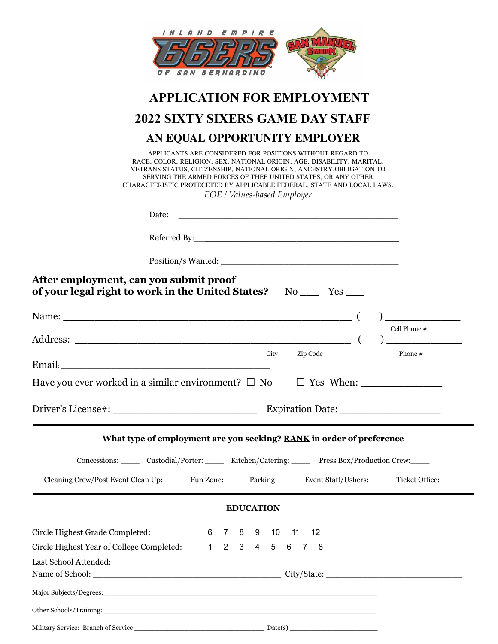| INLAND EMPIRE<br>MUNITI                                                                                                                                                                                                                                                                                                                                                               |  |
|---------------------------------------------------------------------------------------------------------------------------------------------------------------------------------------------------------------------------------------------------------------------------------------------------------------------------------------------------------------------------------------|--|
| <b>BERNARDINO</b>                                                                                                                                                                                                                                                                                                                                                                     |  |
| <b>APPLICATION FOR EMPLOYMENT</b>                                                                                                                                                                                                                                                                                                                                                     |  |
| 2022 SIXTY SIXERS GAME DAY STAFF                                                                                                                                                                                                                                                                                                                                                      |  |
| AN EQUAL OPPORTUNITY EMPLOYER                                                                                                                                                                                                                                                                                                                                                         |  |
| APPLICANTS ARE CONSIDERED FOR POSITIONS WITHOUT REGARD TO<br>RACE, COLOR, RELIGION, SEX, NATIONAL ORIGIN, AGE, DISABILITY, MARITAL,<br>VETRANS STATUS, CITIZENSHIP, NATIONAL ORIGIN, ANCESTRY, OBLIGATION TO<br>SERVING THE ARMED FORCES OF THEE UNITED STATES, OR ANY OTHER<br>CHARACTERISTIC PROTECETED BY APPLICABLE FEDERAL, STATE AND LOCAL LAWS.<br>EOE / Values-based Employer |  |
| Date:<br><u> 1989 - Johann Harry Harry Harry Harry Harry Harry Harry Harry Harry Harry Harry Harry Harry Harry Harry Harry</u>                                                                                                                                                                                                                                                        |  |
|                                                                                                                                                                                                                                                                                                                                                                                       |  |
|                                                                                                                                                                                                                                                                                                                                                                                       |  |
| After employment, can you submit proof<br>of your legal right to work in the United States? No __ Yes __                                                                                                                                                                                                                                                                              |  |
| Name: (                                                                                                                                                                                                                                                                                                                                                                               |  |
| Cell Phone $\#$<br>$\begin{picture}(20,20)(-0.0,0) \put(0,0){\line(1,0){10}} \put(15,0){\line(1,0){10}} \put(15,0){\line(1,0){10}} \put(15,0){\line(1,0){10}} \put(15,0){\line(1,0){10}} \put(15,0){\line(1,0){10}} \put(15,0){\line(1,0){10}} \put(15,0){\line(1,0){10}} \put(15,0){\line(1,0){10}} \put(15,0){\line(1,0){10}} \put(15,0){\line(1,0){10}} \put(15$                   |  |
| City<br>Zip Code<br>Phone #                                                                                                                                                                                                                                                                                                                                                           |  |
| Have you ever worked in a similar environment? $\square$ No $\square$ Yes When:                                                                                                                                                                                                                                                                                                       |  |
|                                                                                                                                                                                                                                                                                                                                                                                       |  |
| What type of employment are you seeking? RANK in order of preference                                                                                                                                                                                                                                                                                                                  |  |
| Concessions: Custodial/Porter: Kitchen/Catering: Press Box/Production Crew:                                                                                                                                                                                                                                                                                                           |  |
| Cleaning Crew/Post Event Clean Up: Fun Zone: Parking: Event Staff/Ushers: Ticket Office:                                                                                                                                                                                                                                                                                              |  |
| <b>EDUCATION</b>                                                                                                                                                                                                                                                                                                                                                                      |  |
| Circle Highest Grade Completed:<br>6 7 8 9 10 11<br>12                                                                                                                                                                                                                                                                                                                                |  |
| Circle Highest Year of College Completed: 1 2 3 4 5 6 7 8                                                                                                                                                                                                                                                                                                                             |  |
| Last School Attended:                                                                                                                                                                                                                                                                                                                                                                 |  |
|                                                                                                                                                                                                                                                                                                                                                                                       |  |
|                                                                                                                                                                                                                                                                                                                                                                                       |  |
|                                                                                                                                                                                                                                                                                                                                                                                       |  |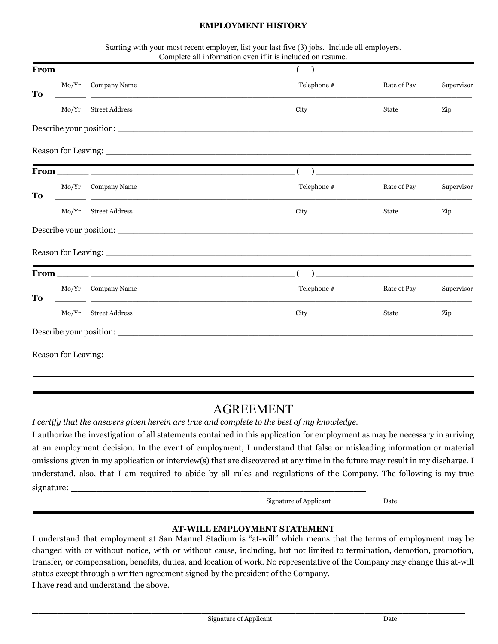#### **EMPLOYMENT HISTORY**

|    |       |                                                                                                                                             | Starting with your most recent employer, list your last five (3) jobs. Include all employers.<br>Complete all information even if it is included on resume. |                                                     |            |
|----|-------|---------------------------------------------------------------------------------------------------------------------------------------------|-------------------------------------------------------------------------------------------------------------------------------------------------------------|-----------------------------------------------------|------------|
|    |       |                                                                                                                                             |                                                                                                                                                             |                                                     |            |
| To |       | Mo/Yr Company Name<br><u> 1989 - Johann Stoff, amerikansk politiker (d. 1989)</u>                                                           | Telephone #                                                                                                                                                 | Rate of Pay                                         | Supervisor |
|    | Mo/Yr | <b>Street Address</b>                                                                                                                       | City                                                                                                                                                        | State                                               | Zip        |
|    |       |                                                                                                                                             |                                                                                                                                                             |                                                     |            |
|    |       |                                                                                                                                             |                                                                                                                                                             |                                                     |            |
|    |       |                                                                                                                                             |                                                                                                                                                             |                                                     |            |
| To |       | Mo/Yr Company Name                                                                                                                          | Telephone #                                                                                                                                                 | Rate of Pay                                         | Supervisor |
|    | Mo/Yr | <b>Street Address</b>                                                                                                                       | City                                                                                                                                                        | <b>State</b>                                        | Zip        |
|    |       |                                                                                                                                             |                                                                                                                                                             |                                                     |            |
|    |       |                                                                                                                                             |                                                                                                                                                             |                                                     |            |
|    |       |                                                                                                                                             |                                                                                                                                                             | ) and the contract of the contract of $\mathcal{L}$ |            |
| To |       | Mo/Yr Company Name<br><u> 1989 - Johann Stoff, deutscher Stoff, der Stoff, der Stoff, der Stoff, der Stoff, der Stoff, der Stoff, der S</u> | Telephone #                                                                                                                                                 | Rate of Pay                                         | Supervisor |
|    |       | Mo/Yr Street Address                                                                                                                        | City                                                                                                                                                        | State                                               | Zip        |
|    |       |                                                                                                                                             |                                                                                                                                                             |                                                     |            |
|    |       |                                                                                                                                             |                                                                                                                                                             |                                                     |            |

## AGREEMENT

*I certify that the answers given herein are true and complete to the best of my knowledge.*

I authorize the investigation of all statements contained in this application for employment as may be necessary in arriving at an employment decision. In the event of employment, I understand that false or misleading information or material omissions given in my application or interview(s) that are discovered at any time in the future may result in my discharge. I understand, also, that I am required to abide by all rules and regulations of the Company. The following is my true signature:

Signature of Applicant Date

#### **AT-WILL EMPLOYMENT STATEMENT**

I understand that employment at San Manuel Stadium is "at-will" which means that the terms of employment may be changed with or without notice, with or without cause, including, but not limited to termination, demotion, promotion, transfer, or compensation, benefits, duties, and location of work. No representative of the Company may change this at-will status except through a written agreement signed by the president of the Company. I have read and understand the above.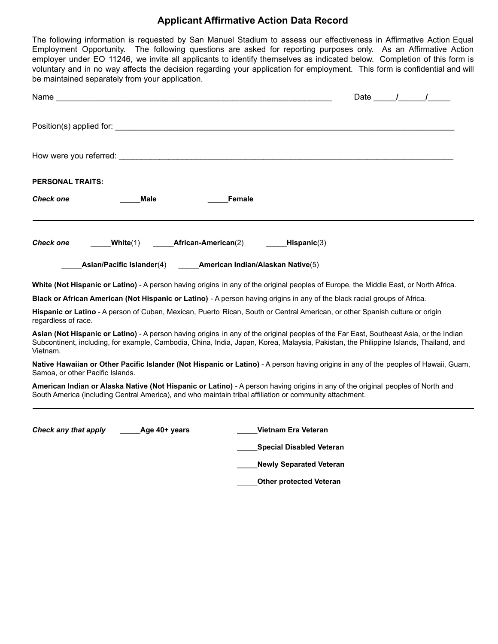### **Applicant Affirmative Action Data Record**

The following information is requested by San Manuel Stadium to assess our effectiveness in Affirmative Action Equal Employment Opportunity. The following questions are asked for reporting purposes only. As an Affirmative Action employer under EO 11246, we invite all applicants to identify themselves as indicated below. Completion of this form is voluntary and in no way affects the decision regarding your application for employment. This form is confidential and will be maintained separately from your application.

| Name ___                         | <u> 1980 - Johann Stein, marwolaethau (b. 1980)</u>                                                                                                                                                                                                                             |                            |               |                                 |  | Date / / |
|----------------------------------|---------------------------------------------------------------------------------------------------------------------------------------------------------------------------------------------------------------------------------------------------------------------------------|----------------------------|---------------|---------------------------------|--|----------|
|                                  |                                                                                                                                                                                                                                                                                 |                            |               |                                 |  |          |
|                                  | How were you referred: the contract of the contract of the contract of the contract of the contract of the contract of the contract of the contract of the contract of the contract of the contract of the contract of the con                                                  |                            |               |                                 |  |          |
| PERSONAL TRAITS:                 |                                                                                                                                                                                                                                                                                 |                            |               |                                 |  |          |
| Check one                        | Male                                                                                                                                                                                                                                                                            |                            | <b>Female</b> |                                 |  |          |
| Check one                        | White(1)                                                                                                                                                                                                                                                                        | <b>African-American(2)</b> |               | Hispanic(3)                     |  |          |
|                                  | Asian/Pacific Islander(4) American Indian/Alaskan Native(5)                                                                                                                                                                                                                     |                            |               |                                 |  |          |
|                                  | White (Not Hispanic or Latino) - A person having origins in any of the original peoples of Europe, the Middle East, or North Africa.                                                                                                                                            |                            |               |                                 |  |          |
|                                  | Black or African American (Not Hispanic or Latino) - A person having origins in any of the black racial groups of Africa.                                                                                                                                                       |                            |               |                                 |  |          |
| regardless of race.              | Hispanic or Latino - A person of Cuban, Mexican, Puerto Rican, South or Central American, or other Spanish culture or origin                                                                                                                                                    |                            |               |                                 |  |          |
| Vietnam.                         | Asian (Not Hispanic or Latino) - A person having origins in any of the original peoples of the Far East, Southeast Asia, or the Indian<br>Subcontinent, including, for example, Cambodia, China, India, Japan, Korea, Malaysia, Pakistan, the Philippine Islands, Thailand, and |                            |               |                                 |  |          |
| Samoa, or other Pacific Islands. | Native Hawaiian or Other Pacific Islander (Not Hispanic or Latino) - A person having origins in any of the peoples of Hawaii, Guam,                                                                                                                                             |                            |               |                                 |  |          |
|                                  | American Indian or Alaska Native (Not Hispanic or Latino) - A person having origins in any of the original peoples of North and<br>South America (including Central America), and who maintain tribal affiliation or community attachment.                                      |                            |               |                                 |  |          |
| Check any that apply             | Age 40+ years                                                                                                                                                                                                                                                                   |                            |               | Vietnam Era Veteran             |  |          |
|                                  |                                                                                                                                                                                                                                                                                 |                            |               | <b>Special Disabled Veteran</b> |  |          |
|                                  |                                                                                                                                                                                                                                                                                 |                            |               | <b>Newly Separated Veteran</b>  |  |          |
|                                  |                                                                                                                                                                                                                                                                                 |                            |               | <b>Other protected Veteran</b>  |  |          |